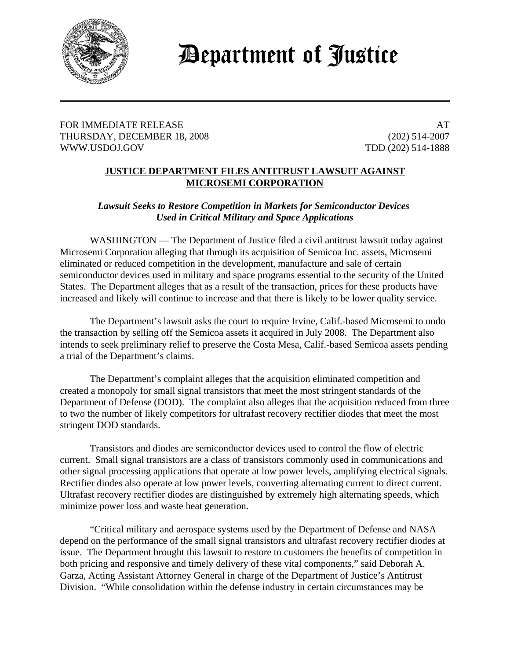

## Department of Justice

FOR IMMEDIATE RELEASE AT A SERIES AT A SERIES AT A SERIES AT A SERIES AT A SERIES AND A SERIES AT A SERIES AND A SERIES AT A SERIES AND A SERIES AND A SERIES AT A SERIES AND A SERIES AND A SERIES AND A SERIES AND A SERIES THURSDAY, DECEMBER 18, 2008 (202) 514-2007 WWW.USDOJ.GOV TDD (202) 514-1888

## **JUSTICE DEPARTMENT FILES ANTITRUST LAWSUIT AGAINST MICROSEMI CORPORATION**

## *Lawsuit Seeks to Restore Competition in Markets for Semiconductor Devices Used in Critical Military and Space Applications*

WASHINGTON — The Department of Justice filed a civil antitrust lawsuit today against Microsemi Corporation alleging that through its acquisition of Semicoa Inc. assets, Microsemi eliminated or reduced competition in the development, manufacture and sale of certain semiconductor devices used in military and space programs essential to the security of the United States. The Department alleges that as a result of the transaction, prices for these products have increased and likely will continue to increase and that there is likely to be lower quality service.

The Department's lawsuit asks the court to require Irvine, Calif.-based Microsemi to undo the transaction by selling off the Semicoa assets it acquired in July 2008. The Department also intends to seek preliminary relief to preserve the Costa Mesa, Calif.-based Semicoa assets pending a trial of the Department's claims.

The Department's complaint alleges that the acquisition eliminated competition and created a monopoly for small signal transistors that meet the most stringent standards of the Department of Defense (DOD). The complaint also alleges that the acquisition reduced from three to two the number of likely competitors for ultrafast recovery rectifier diodes that meet the most stringent DOD standards.

Transistors and diodes are semiconductor devices used to control the flow of electric current. Small signal transistors are a class of transistors commonly used in communications and other signal processing applications that operate at low power levels, amplifying electrical signals. Rectifier diodes also operate at low power levels, converting alternating current to direct current. Ultrafast recovery rectifier diodes are distinguished by extremely high alternating speeds, which minimize power loss and waste heat generation.

"Critical military and aerospace systems used by the Department of Defense and NASA depend on the performance of the small signal transistors and ultrafast recovery rectifier diodes at issue. The Department brought this lawsuit to restore to customers the benefits of competition in both pricing and responsive and timely delivery of these vital components," said Deborah A. Garza, Acting Assistant Attorney General in charge of the Department of Justice's Antitrust Division. "While consolidation within the defense industry in certain circumstances may be